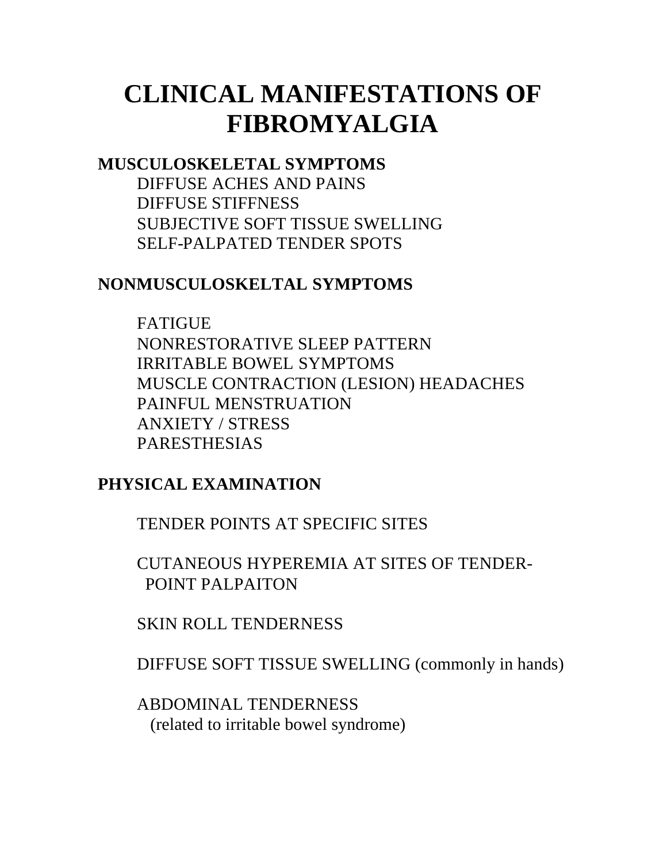# **CLINICAL MANIFESTATIONS OF FIBROMYALGIA**

### **MUSCULOSKELETAL SYMPTOMS**

DIFFUSE ACHES AND PAINS DIFFUSE STIFFNESS SUBJECTIVE SOFT TISSUE SWELLING SELF-PALPATED TENDER SPOTS

### **NONMUSCULOSKELTAL SYMPTOMS**

FATIGUE NONRESTORATIVE SLEEP PATTERN IRRITABLE BOWEL SYMPTOMS MUSCLE CONTRACTION (LESION) HEADACHES PAINFUL MENSTRUATION ANXIETY / STRESS PARESTHESIAS

## **PHYSICAL EXAMINATION**

TENDER POINTS AT SPECIFIC SITES

CUTANEOUS HYPEREMIA AT SITES OF TENDER- POINT PALPAITON

SKIN ROLL TENDERNESS

DIFFUSE SOFT TISSUE SWELLING (commonly in hands)

ABDOMINAL TENDERNESS (related to irritable bowel syndrome)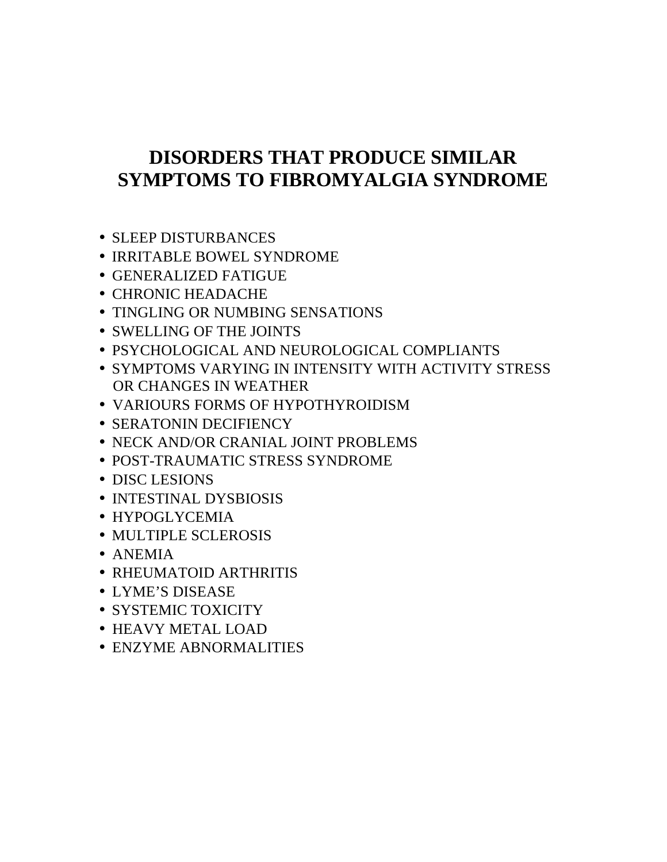## **DISORDERS THAT PRODUCE SIMILAR SYMPTOMS TO FIBROMYALGIA SYNDROME**

- SLEEP DISTURBANCES
- IRRITABLE BOWEL SYNDROME
- GENERALIZED FATIGUE
- CHRONIC HEADACHE
- TINGLING OR NUMBING SENSATIONS
- SWELLING OF THE JOINTS
- PSYCHOLOGICAL AND NEUROLOGICAL COMPLIANTS
- SYMPTOMS VARYING IN INTENSITY WITH ACTIVITY STRESS OR CHANGES IN WEATHER
- VARIOURS FORMS OF HYPOTHYROIDISM
- SERATONIN DECIFIENCY
- NECK AND/OR CRANIAL JOINT PROBLEMS
- POST-TRAUMATIC STRESS SYNDROME
- DISC LESIONS
- INTESTINAL DYSBIOSIS
- HYPOGLYCEMIA
- MULTIPLE SCLEROSIS
- ANEMIA
- RHEUMATOID ARTHRITIS
- LYME'S DISEASE
- SYSTEMIC TOXICITY
- HEAVY METAL LOAD
- ENZYME ABNORMALITIES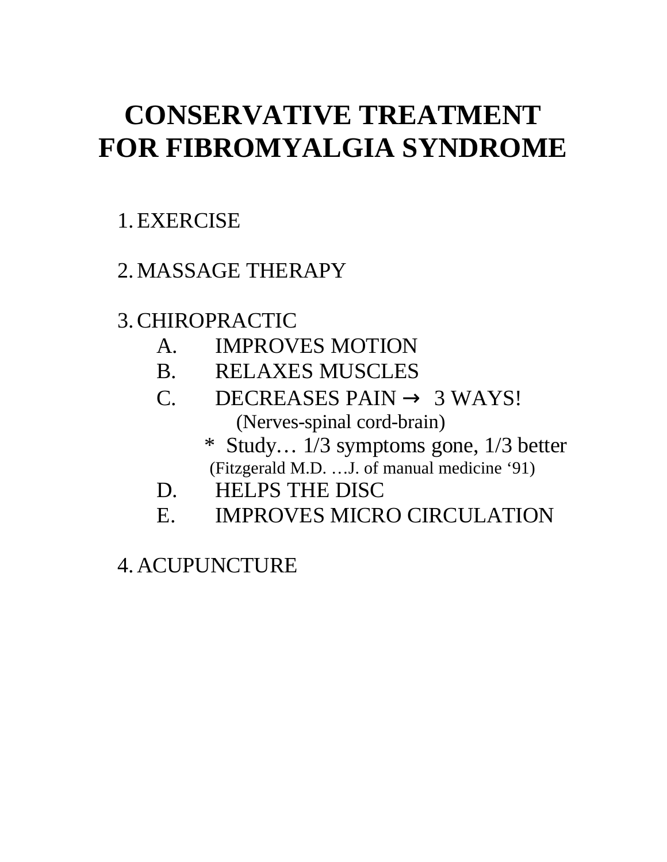# **CONSERVATIVE TREATMENT FOR FIBROMYALGIA SYNDROME**

# 1.EXERCISE

# 2.MASSAGE THERAPY

# 3.CHIROPRACTIC

- A. IMPROVES MOTION
- B. RELAXES MUSCLES
- C. DECREASES PAIN  $\rightarrow$  3 WAYS! (Nerves-spinal cord-brain)
	- \* Study… 1/3 symptoms gone, 1/3 better (Fitzgerald M.D. …J. of manual medicine '91)
- D. HELPS THE DISC
- E. IMPROVES MICRO CIRCULATION

4.ACUPUNCTURE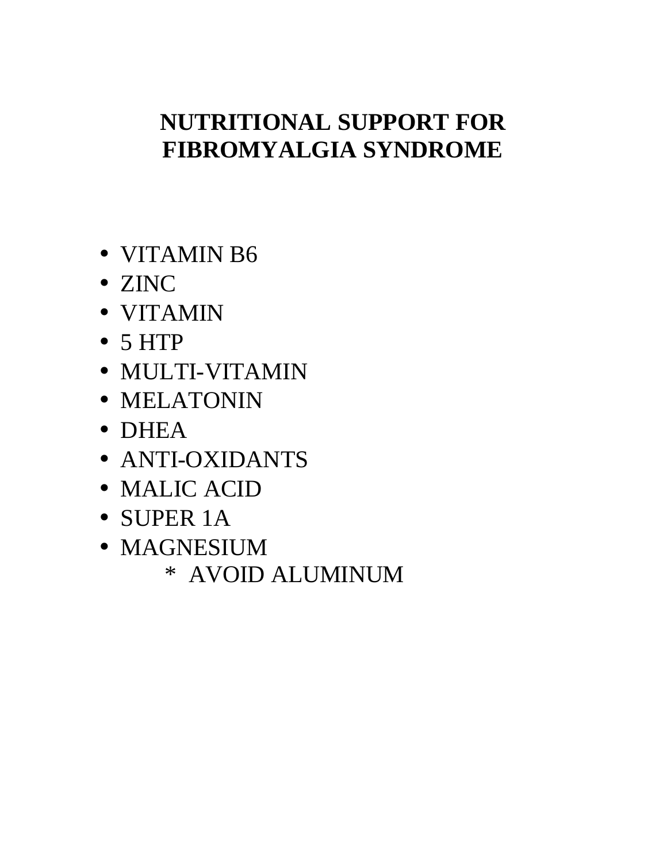# **NUTRITIONAL SUPPORT FOR FIBROMYALGIA SYNDROME**

- VITAMIN B6
- ZINC
- VITAMIN
- 5 HTP
- MULTI-VITAMIN
- MELATONIN
- DHEA
- ANTI-OXIDANTS
- MALIC ACID
- SUPER 1A
- MAGNESIUM
	- \* AVOID ALUMINUM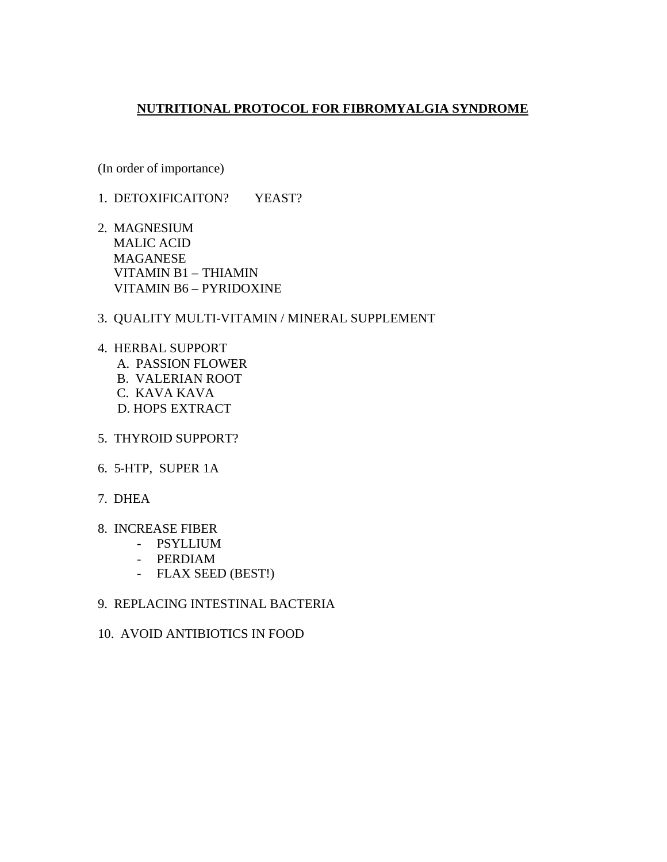#### **NUTRITIONAL PROTOCOL FOR FIBROMYALGIA SYNDROME**

(In order of importance)

- 1. DETOXIFICAITON? YEAST?
- 2. MAGNESIUM MALIC ACID MAGANESE VITAMIN B1 – THIAMIN VITAMIN B6 – PYRIDOXINE

#### 3. QUALITY MULTI-VITAMIN / MINERAL SUPPLEMENT

- 4. HERBAL SUPPORT A. PASSION FLOWER B. VALERIAN ROOT C. KAVA KAVA D. HOPS EXTRACT
- 5. THYROID SUPPORT?
- 6. 5-HTP, SUPER 1A
- 7. DHEA
- 8. INCREASE FIBER
	- PSYLLIUM
	- PERDIAM
	- FLAX SEED (BEST!)

#### 9. REPLACING INTESTINAL BACTERIA

10. AVOID ANTIBIOTICS IN FOOD